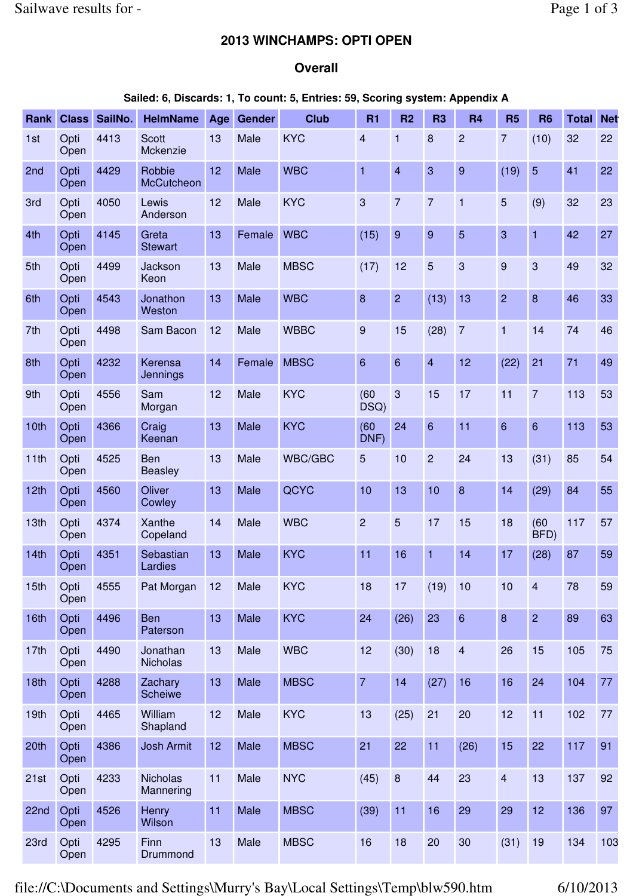## **2013 WINCHAMPS: OPTI OPEN**

## **Overall**

## **Sailed: 6, Discards: 1, To count: 5, Entries: 59, Scoring system: Appendix A**

| Rank             | <b>Class</b> | SailNo. | <b>HelmName</b>              | Age | <b>Gender</b> | <b>Club</b>    | <b>R1</b>       | R <sub>2</sub>   | R <sub>3</sub>  | <b>R4</b>      | <b>R5</b>        | <b>R6</b>      | Total | <b>Net</b> |
|------------------|--------------|---------|------------------------------|-----|---------------|----------------|-----------------|------------------|-----------------|----------------|------------------|----------------|-------|------------|
| 1st              | Opti<br>Open | 4413    | <b>Scott</b><br>Mckenzie     | 13  | Male          | <b>KYC</b>     | 4               | 1                | 8               | $\overline{2}$ | $\overline{7}$   | (10)           | 32    | 22         |
| 2nd              | Opti<br>Open | 4429    | Robbie<br><b>McCutcheon</b>  | 12  | Male          | <b>WBC</b>     | $\mathbf{1}$    | $\overline{4}$   | 3               | 9              | (19)             | $\overline{5}$ | 41    | 22         |
| 3rd              | Opti<br>Open | 4050    | Lewis<br>Anderson            | 12  | Male          | <b>KYC</b>     | 3               | $\overline{7}$   | $\overline{7}$  | $\mathbf{1}$   | 5                | (9)            | 32    | 23         |
| 4th              | Opti<br>Open | 4145    | Greta<br><b>Stewart</b>      | 13  | Female        | <b>WBC</b>     | (15)            | 9                | 9               | 5              | 3                | $\mathbf{1}$   | 42    | 27         |
| 5th              | Opti<br>Open | 4499    | Jackson<br>Keon              | 13  | Male          | <b>MBSC</b>    | (17)            | 12               | 5               | 3              | $\overline{9}$   | 3              | 49    | 32         |
| 6th              | Opti<br>Open | 4543    | Jonathon<br>Weston           | 13  | Male          | <b>WBC</b>     | 8               | $\overline{2}$   | (13)            | 13             | $\overline{c}$   | $\bf 8$        | 46    | 33         |
| 7th              | Opti<br>Open | 4498    | Sam Bacon                    | 12  | Male          | <b>WBBC</b>    | 9               | 15               | (28)            | $\overline{7}$ | $\mathbf{1}$     | 14             | 74    | 46         |
| 8th              | Opti<br>Open | 4232    | Kerensa<br>Jennings          | 14  | Female        | <b>MBSC</b>    | 6               | 6                | 4               | 12             | (22)             | 21             | 71    | 49         |
| 9th              | Opti<br>Open | 4556    | Sam<br>Morgan                | 12  | Male          | <b>KYC</b>     | (60)<br>$DSQ$ ) | 3                | 15              | 17             | 11               | $\overline{7}$ | 113   | 53         |
| 10th             | Opti<br>Open | 4366    | Craig<br>Keenan              | 13  | Male          | <b>KYC</b>     | (60)<br>DNF)    | 24               | $6\overline{6}$ | 11             | 6                | $6\phantom{1}$ | 113   | 53         |
| 11th             | Opti<br>Open | 4525    | Ben<br><b>Beasley</b>        | 13  | Male          | <b>WBC/GBC</b> | 5               | 10               | $\overline{2}$  | 24             | 13               | (31)           | 85    | 54         |
| 12th             | Opti<br>Open | 4560    | Oliver<br>Cowley             | 13  | Male          | QCYC           | 10              | 13               | 10              | $\bf 8$        | 14               | (29)           | 84    | 55         |
| 13th             | Opti<br>Open | 4374    | Xanthe<br>Copeland           | 14  | Male          | <b>WBC</b>     | $\overline{2}$  | 5                | 17              | 15             | 18               | (60)<br>BFD)   | 117   | 57         |
| 14th             | Opti<br>Open | 4351    | Sebastian<br>Lardies         | 13  | Male          | <b>KYC</b>     | 11              | 16               | 1               | 14             | 17               | (28)           | 87    | 59         |
| 15th             | Opti<br>Open | 4555    | Pat Morgan                   | 12  | Male          | <b>KYC</b>     | 18              | 17               | (19)            | 10             | 10               | $\overline{4}$ | 78    | 59         |
| 16th             | Opti<br>Open | 4496    | <b>Ben</b><br>Paterson       | 13  | Male          | <b>KYC</b>     | 24              | (26)             | 23              | $6\phantom{a}$ | $\boldsymbol{8}$ | $\overline{2}$ | 89    | 63         |
| 17th             | Opti<br>Open | 4490    | Jonathan<br>Nicholas         | 13  | Male          | <b>WBC</b>     | 12              | (30)             | 18              | $\overline{4}$ | 26               | 15             | 105   | 75         |
| 18th             | Opti<br>Open | 4288    | Zachary<br>Scheiwe           | 13  | Male          | <b>MBSC</b>    | $\overline{7}$  | 14               | (27)            | 16             | 16               | 24             | 104   | 77         |
| 19 <sub>th</sub> | Opti<br>Open | 4465    | William<br>Shapland          | 12  | Male          | <b>KYC</b>     | 13              | (25)             | 21              | 20             | 12               | 11             | 102   | 77         |
| 20th             | Opti<br>Open | 4386    | <b>Josh Armit</b>            | 12  | Male          | <b>MBSC</b>    | 21              | 22               | 11              | (26)           | 15               | 22             | 117   | 91         |
| 21st             | Opti<br>Open | 4233    | <b>Nicholas</b><br>Mannering | 11  | Male          | <b>NYC</b>     | (45)            | $\boldsymbol{8}$ | 44              | 23             | $\overline{4}$   | 13             | 137   | 92         |
| 22nd             | Opti<br>Open | 4526    | Henry<br>Wilson              | 11  | Male          | <b>MBSC</b>    | (39)            | 11               | 16              | 29             | 29               | 12             | 136   | 97         |
| 23rd             | Opti<br>Open | 4295    | Finn<br>Drummond             | 13  | Male          | <b>MBSC</b>    | 16              | 18               | 20              | 30             | (31)             | 19             | 134   | 103        |

file://C:\Documents and Settings\Murry's Bay\Local Settings\Temp\blw590.htm 6/10/2013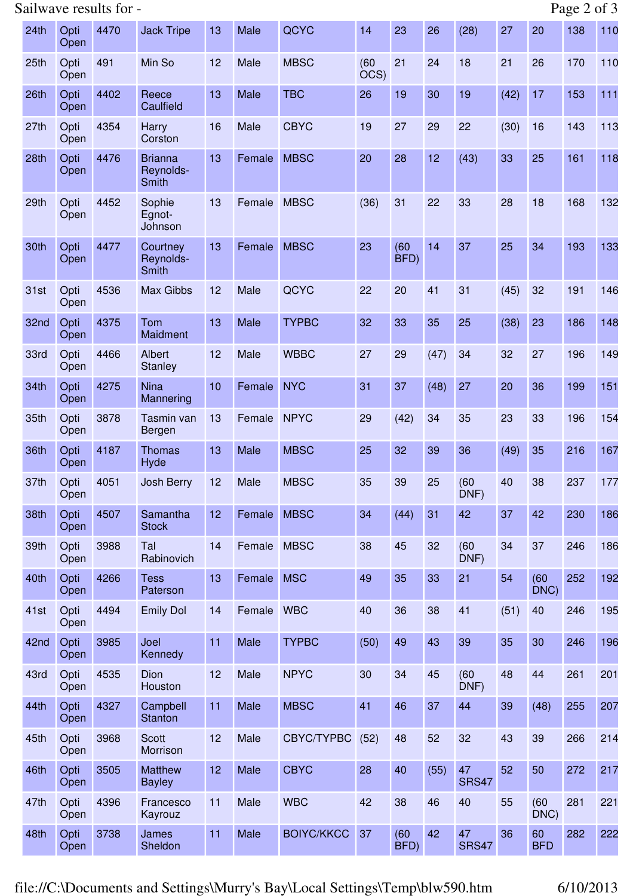## Sailwave results for - Page 2 of 3

| 24th             | Opti<br>Open | 4470 | <b>Jack Tripe</b>                           | 13 | Male   | QCYC              | 14           | 23           | 26   | (28)               | 27   | 20               | 138 | 110 |
|------------------|--------------|------|---------------------------------------------|----|--------|-------------------|--------------|--------------|------|--------------------|------|------------------|-----|-----|
| 25th             | Opti<br>Open | 491  | Min So                                      | 12 | Male   | <b>MBSC</b>       | (60)<br>OCS) | 21           | 24   | 18                 | 21   | 26               | 170 | 110 |
| 26th             | Opti<br>Open | 4402 | Reece<br>Caulfield                          | 13 | Male   | <b>TBC</b>        | 26           | 19           | 30   | 19                 | (42) | 17               | 153 | 111 |
| 27th             | Opti<br>Open | 4354 | <b>Harry</b><br>Corston                     | 16 | Male   | <b>CBYC</b>       | 19           | 27           | 29   | 22                 | (30) | 16               | 143 | 113 |
| 28th             | Opti<br>Open | 4476 | <b>Brianna</b><br>Reynolds-<br><b>Smith</b> | 13 | Female | <b>MBSC</b>       | 20           | 28           | 12   | (43)               | 33   | 25               | 161 | 118 |
| 29 <sub>th</sub> | Opti<br>Open | 4452 | Sophie<br>Egnot-<br>Johnson                 | 13 | Female | <b>MBSC</b>       | (36)         | 31           | 22   | 33                 | 28   | 18               | 168 | 132 |
| 30th             | Opti<br>Open | 4477 | Courtney<br>Reynolds-<br>Smith              | 13 | Female | <b>MBSC</b>       | 23           | (60)<br>BFD) | 14   | 37                 | 25   | 34               | 193 | 133 |
| 31st             | Opti<br>Open | 4536 | Max Gibbs                                   | 12 | Male   | QCYC              | 22           | 20           | 41   | 31                 | (45) | 32               | 191 | 146 |
| 32nd             | Opti<br>Open | 4375 | Tom<br>Maidment                             | 13 | Male   | <b>TYPBC</b>      | 32           | 33           | 35   | 25                 | (38) | 23               | 186 | 148 |
| 33rd             | Opti<br>Open | 4466 | <b>Albert</b><br><b>Stanley</b>             | 12 | Male   | <b>WBBC</b>       | 27           | 29           | (47) | 34                 | 32   | 27               | 196 | 149 |
| 34th             | Opti<br>Open | 4275 | <b>Nina</b><br>Mannering                    | 10 | Female | <b>NYC</b>        | 31           | 37           | (48) | 27                 | 20   | 36               | 199 | 151 |
| 35th             | Opti<br>Open | 3878 | Tasmin van<br>Bergen                        | 13 | Female | <b>NPYC</b>       | 29           | (42)         | 34   | 35                 | 23   | 33               | 196 | 154 |
| 36th             | Opti<br>Open | 4187 | <b>Thomas</b><br>Hyde                       | 13 | Male   | <b>MBSC</b>       | 25           | 32           | 39   | 36                 | (49) | 35               | 216 | 167 |
| 37th             | Opti<br>Open | 4051 | Josh Berry                                  | 12 | Male   | <b>MBSC</b>       | 35           | 39           | 25   | (60)<br>DNF)       | 40   | 38               | 237 | 177 |
| 38th             | Opti<br>Open | 4507 | Samantha<br><b>Stock</b>                    | 12 | Female | <b>MBSC</b>       | 34           | (44)         | 31   | 42                 | 37   | 42               | 230 | 186 |
| 39th             | Opti<br>Open | 3988 | Tal<br>Rabinovich                           | 14 | Female | <b>MBSC</b>       | 38           | 45           | 32   | (60)<br>DNF)       | 34   | 37               | 246 | 186 |
| 40th             | Opti<br>Open | 4266 | <b>Tess</b><br>Paterson                     | 13 | Female | <b>MSC</b>        | 49           | 35           | 33   | 21                 | 54   | (60)<br>DNC)     | 252 | 192 |
| 41st             | Opti<br>Open | 4494 | <b>Emily Dol</b>                            | 14 | Female | <b>WBC</b>        | 40           | 36           | 38   | 41                 | (51) | 40               | 246 | 195 |
| 42nd             | Opti<br>Open | 3985 | Joel<br>Kennedy                             | 11 | Male   | <b>TYPBC</b>      | (50)         | 49           | 43   | 39                 | 35   | 30               | 246 | 196 |
| 43rd             | Opti<br>Open | 4535 | Dion<br>Houston                             | 12 | Male   | <b>NPYC</b>       | 30           | 34           | 45   | (60)<br>DNF)       | 48   | 44               | 261 | 201 |
| 44th             | Opti<br>Open | 4327 | Campbell<br><b>Stanton</b>                  | 11 | Male   | <b>MBSC</b>       | 41           | 46           | 37   | 44                 | 39   | (48)             | 255 | 207 |
| 45th             | Opti<br>Open | 3968 | <b>Scott</b><br>Morrison                    | 12 | Male   | CBYC/TYPBC        | (52)         | 48           | 52   | 32                 | 43   | 39               | 266 | 214 |
| 46th             | Opti<br>Open | 3505 | <b>Matthew</b><br><b>Bayley</b>             | 12 | Male   | <b>CBYC</b>       | 28           | 40           | (55) | 47<br><b>SRS47</b> | 52   | 50               | 272 | 217 |
| 47th             | Opti<br>Open | 4396 | Francesco<br>Kayrouz                        | 11 | Male   | <b>WBC</b>        | 42           | 38           | 46   | 40                 | 55   | (60)<br>DNC)     | 281 | 221 |
| 48th             | Opti<br>Open | 3738 | James<br>Sheldon                            | 11 | Male   | <b>BOIYC/KKCC</b> | 37           | (60)<br>BFD) | 42   | 47<br><b>SRS47</b> | 36   | 60<br><b>BFD</b> | 282 | 222 |